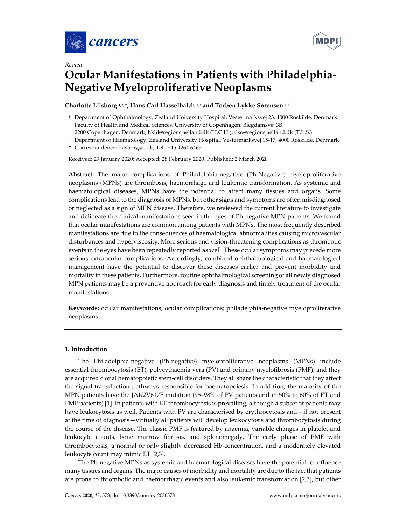



# *Review* **Ocular Manifestations in Patients with Philadelphia‐ Negative Myeloproliferative Neoplasms**

# **Charlotte Liisborg 1,2,\*, Hans Carl Hasselbalch 2,3 and Torben Lykke Sørensen 1,2**

- <sup>1</sup> Department of Ophthalmology, Zealand University Hospital, Vestermarksvej 23, 4000 Roskilde, Denmark
- <sup>2</sup> Faculty of Health and Medical Sciences, University of Copenhagen, Blegdamsvej 3B,
- 2200 Copenhagen, Denmark; hkhl@regionsjaelland.dk (H.C.H.); tlso@regionsjaelland.dk (T.L.S.)
- <sup>3</sup> Department of Haematology, Zealand University Hospital, Vestermarksvej 15-17, 4000 Roskilde, Denmark
- **\*** Correspondence: Liisborg@c.dk; Tel.: +45 4264 6465

Received: 29 January 2020; Accepted: 28 February 2020; Published: 2 March 2020

**Abstract:** The major complications of Philadelphia‐negative (Ph‐Negative) myeloproliferative neoplasms (MPNs) are thrombosis, haemorrhage and leukemic transformation. As systemic and haematological diseases, MPNs have the potential to affect many tissues and organs. Some complications lead to the diagnosis of MPNs, but other signs and symptoms are often misdiagnosed or neglected as a sign of MPN disease. Therefore, we reviewed the current literature to investigate and delineate the clinical manifestations seen in the eyes of Ph‐negative MPN patients. We found that ocular manifestations are common among patients with MPNs. The most frequently described manifestations are due to the consequences of haematological abnormalities causing microvascular disturbances and hyperviscosity. More serious and vision‐threatening complications as thrombotic events in the eyes have been repeatedly reported as well. These ocular symptoms may precede more serious extraocular complications. Accordingly, combined ophthalmological and haematological management have the potential to discover these diseases earlier and prevent morbidity and mortality in these patients. Furthermore, routine ophthalmological screening of all newly diagnosed MPN patients may be a preventive approach for early diagnosis and timely treatment of the ocular manifestations.

**Keywords:** ocular manifestations; ocular complications; philadelphia‐negative myeloproliferative neoplasms

## **1. Introduction**

The Philadelphia‐negative (Ph‐negative) myeloproliferative neoplasms (MPNs) include essential thrombocytosis (ET), polycythaemia vera (PV) and primary myelofibrosis (PMF), and they are acquired clonal hematopoietic stem‐cell disorders. They all share the characteristic that they affect the signal‐transduction pathways responsible for haematopoiesis. In addition, the majority of the MPN patients have the JAK2V617F mutation (95–98% of PV patients and in 50% to 60% of ET and PMF patients) [1]. In patients with ET thrombocytosis is prevailing, although a subset of patients may have leukocytosis as well. Patients with PV are characterised by erythrocytosis and—if not present at the time of diagnosis—virtually all patients will develop leukocytosis and thrombocytosis during the course of the disease. The classic PMF is featured by anaemia, variable changes in platelet and leukocyte counts, bone marrow fibrosis, and splenomegaly. The early phase of PMF with thrombocytosis, a normal or only slightly decreased Hb‐concentration, and a moderately elevated leukocyte count may mimic ET [2,3].

The Ph-negative MPNs as systemic and haematological diseases have the potential to influence many tissues and organs. The major causes of morbidity and mortality are due to the fact that patients are prone to thrombotic and haemorrhagic events and also leukemic transformation [2,3], but other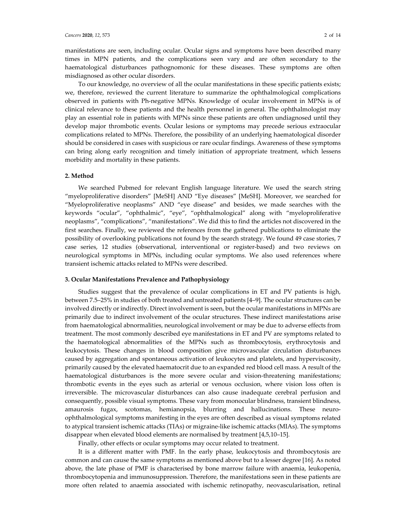manifestations are seen, including ocular. Ocular signs and symptoms have been described many times in MPN patients, and the complications seen vary and are often secondary to the haematological disturbances pathognomonic for these diseases. These symptoms are often misdiagnosed as other ocular disorders.

To our knowledge, no overview of all the ocular manifestations in these specific patients exists; we, therefore, reviewed the current literature to summarize the ophthalmological complications observed in patients with Ph‐negative MPNs. Knowledge of ocular involvement in MPNs is of clinical relevance to these patients and the health personnel in general. The ophthalmologist may play an essential role in patients with MPNs since these patients are often undiagnosed until they develop major thrombotic events. Ocular lesions or symptoms may precede serious extraocular complications related to MPNs. Therefore, the possibility of an underlying haematological disorder should be considered in cases with suspicious or rare ocular findings. Awareness of these symptoms can bring along early recognition and timely initiation of appropriate treatment, which lessens morbidity and mortality in these patients.

# **2. Method**

We searched Pubmed for relevant English language literature. We used the search string "myeloproliferative disorders" [MeSH] AND "Eye diseases" [MeSH]. Moreover, we searched for "Myeloproliferative neoplasms" AND "eye disease" and besides, we made searches with the keywords "ocular", "ophthalmic", "eye", "ophthalmological" along with "myeloproliferative neoplasms", "complications", "manifestations". We did this to find the articles not discovered in the first searches. Finally, we reviewed the references from the gathered publications to eliminate the possibility of overlooking publications not found by the search strategy. We found 49 case stories, 7 case series, 12 studies (observational, interventional or register‐based) and two reviews on neurological symptoms in MPNs, including ocular symptoms. We also used references where transient ischemic attacks related to MPNs were described.

#### **3. Ocular Manifestations Prevalence and Pathophysiology**

Studies suggest that the prevalence of ocular complications in ET and PV patients is high, between 7.5–25% in studies of both treated and untreated patients [4–9]. The ocular structures can be involved directly or indirectly. Direct involvement is seen, but the ocular manifestations in MPNs are primarily due to indirect involvement of the ocular structures. These indirect manifestations arise from haematological abnormalities, neurological involvement or may be due to adverse effects from treatment. The most commonly described eye manifestations in ET and PV are symptoms related to the haematological abnormalities of the MPNs such as thrombocytosis, erythrocytosis and leukocytosis. These changes in blood composition give microvascular circulation disturbances caused by aggregation and spontaneous activation of leukocytes and platelets, and hyperviscosity, primarily caused by the elevated haematocrit due to an expanded red blood cell mass. A result of the haematological disturbances is the more severe ocular and vision-threatening manifestations; thrombotic events in the eyes such as arterial or venous occlusion, where vision loss often is irreversible. The microvascular disturbances can also cause inadequate cerebral perfusion and consequently, possible visual symptoms. These vary from monocular blindness, transient blindness, amaurosis fugax, scotomas, hemianopsia, blurring and hallucinations. These neuroophthalmological symptoms manifesting in the eyes are often described as visual symptoms related to atypical transient ischemic attacks (TIAs) or migraine‐like ischemic attacks (MIAs). The symptoms disappear when elevated blood elements are normalised by treatment [4,5,10–15].

Finally, other effects or ocular symptoms may occur related to treatment.

It is a different matter with PMF. In the early phase, leukocytosis and thrombocytosis are common and can cause the same symptoms as mentioned above but to a lesser degree [16]. As noted above, the late phase of PMF is characterised by bone marrow failure with anaemia, leukopenia, thrombocytopenia and immunosuppression. Therefore, the manifestations seen in these patients are more often related to anaemia associated with ischemic retinopathy, neovascularisation, retinal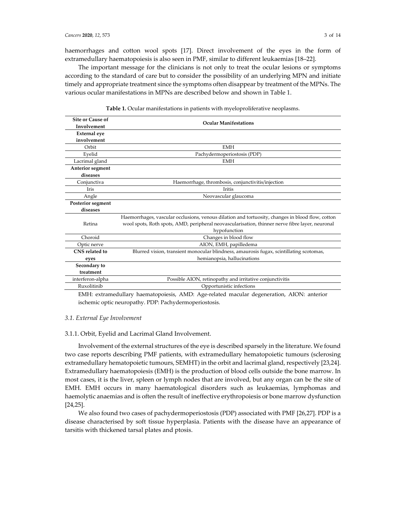haemorrhages and cotton wool spots [17]. Direct involvement of the eyes in the form of extramedullary haematopoiesis is also seen in PMF, similar to different leukaemias [18–22].

The important message for the clinicians is not only to treat the ocular lesions or symptoms according to the standard of care but to consider the possibility of an underlying MPN and initiate timely and appropriate treatment since the symptoms often disappear by treatment of the MPNs. The various ocular manifestations in MPNs are described below and shown in Table 1.

| <b>Site or Cause of</b> | <b>Ocular Manifestations</b>                                                                     |
|-------------------------|--------------------------------------------------------------------------------------------------|
| Involvement             |                                                                                                  |
| <b>External</b> eye     |                                                                                                  |
| involvement             |                                                                                                  |
| Orbit                   | <b>EMH</b>                                                                                       |
| Evelid                  | Pachydermoperiostosis (PDP)                                                                      |
| Lacrimal gland          | <b>EMH</b>                                                                                       |
| Anterior segment        |                                                                                                  |
| diseases                |                                                                                                  |
| Conjunctiva             | Haemorrhage, thrombosis, conjunctivitis/injection                                                |
| <b>Iris</b>             | Iritis                                                                                           |
| Angle                   | Neovascular glaucoma                                                                             |
| Posterior segment       |                                                                                                  |
| diseases                |                                                                                                  |
| Retina                  | Haemorrhages, vascular occlusions, venous dilation and tortuosity, changes in blood flow, cotton |
|                         | wool spots, Roth spots, AMD, peripheral neovascularisation, thinner nerve fibre layer, neuronal  |
|                         | hypofunction                                                                                     |
| Choroid                 | Changes in blood flow                                                                            |
| Optic nerve             | AION, EMH, papilledema                                                                           |
| CNS related to          | Blurred vision, transient monocular blindness, amaurosis fugax, scintillating scotomas,          |
| eyes                    | hemianopsia, hallucinations                                                                      |
| Secondary to            |                                                                                                  |
| treatment               |                                                                                                  |
| interferon-alpha        | Possible AION, retinopathy and irritative conjunctivitis                                         |
| Ruxolitinib             | Opportunistic infections                                                                         |

**Table 1.** Ocular manifestations in patients with myeloproliferative neoplasms.

EMH: extramedullary haematopoiesis, AMD: Age‐related macular degeneration, AION: anterior ischemic optic neuropathy. PDP: Pachydermoperiostosis.

#### *3.1. External Eye Involvement*

#### 3.1.1. Orbit, Eyelid and Lacrimal Gland Involvement.

Involvement of the external structures of the eye is described sparsely in the literature. We found two case reports describing PMF patients, with extramedullary hematopoietic tumours (sclerosing extramedullary hematopoietic tumours, SEMHT) in the orbit and lacrimal gland, respectively [23,24]. Extramedullary haematopoiesis (EMH) is the production of blood cells outside the bone marrow. In most cases, it is the liver, spleen or lymph nodes that are involved, but any organ can be the site of EMH. EMH occurs in many haematological disorders such as leukaemias, lymphomas and haemolytic anaemias and is often the result of ineffective erythropoiesis or bone marrow dysfunction [24,25].

We also found two cases of pachydermoperiostosis (PDP) associated with PMF [26,27]. PDP is a disease characterised by soft tissue hyperplasia. Patients with the disease have an appearance of tarsitis with thickened tarsal plates and ptosis.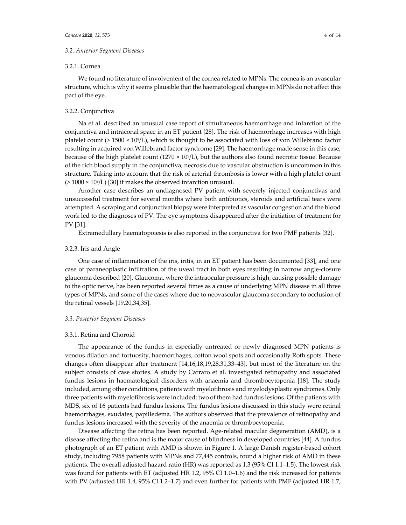## *3.2. Anterior Segment Diseases*

## 3.2.1. Cornea

We found no literature of involvement of the cornea related to MPNs. The cornea is an avascular structure, which is why it seems plausible that the haematological changes in MPNs do not affect this part of the eye.

#### 3.2.2. Conjunctiva

Na et al. described an unusual case report of simultaneous haemorrhage and infarction of the conjunctiva and intraconal space in an ET patient [28]. The risk of haemorrhage increases with high platelet count ( $> 1500 \times 10^{9}/L$ ), which is thought to be associated with loss of von Willebrand factor resulting in acquired von Willebrand factor syndrome [29]. The haemorrhage made sense in this case, because of the high platelet count  $(1270 \times 10^{9}L)$ , but the authors also found necrotic tissue. Because of the rich blood supply in the conjunctiva, necrosis due to vascular obstruction is uncommon in this structure. Taking into account that the risk of arterial thrombosis is lower with a high platelet count (> 1000 × 109/L) [30] it makes the observed infarction unusual.

Another case describes an undiagnosed PV patient with severely injected conjunctivas and unsuccessful treatment for several months where both antibiotics, steroids and artificial tears were attempted. A scraping and conjunctival biopsy were interpreted as vascular congestion and the blood work led to the diagnoses of PV. The eye symptoms disappeared after the initiation of treatment for PV [31].

Extramedullary haematopoiesis is also reported in the conjunctiva for two PMF patients [32].

#### 3.2.3. Iris and Angle

One case of inflammation of the iris, iritis, in an ET patient has been documented [33], and one case of paraneoplastic infiltration of the uveal tract in both eyes resulting in narrow angle‐closure glaucoma described [20]. Glaucoma, where the intraocular pressure is high, causing possible damage to the optic nerve, has been reported several times as a cause of underlying MPN disease in all three types of MPNs, and some of the cases where due to neovascular glaucoma secondary to occlusion of the retinal vessels [19,20,34,35].

#### *3.3. Posterior Segment Diseases*

## 3.3.1. Retina and Choroid

The appearance of the fundus in especially untreated or newly diagnosed MPN patients is venous dilation and tortuosity, haemorrhages, cotton wool spots and occasionally Roth spots. These changes often disappear after treatment [14,16,18,19,28,31,33–43], but most of the literature on the subject consists of case stories. A study by Carraro et al. investigated retinopathy and associated fundus lesions in haematological disorders with anaemia and thrombocytopenia [18]. The study included, among other conditions, patients with myelofibrosis and myelodysplastic syndromes. Only three patients with myelofibrosis were included; two of them had fundus lesions. Of the patients with MDS, six of 16 patients had fundus lesions. The fundus lesions discussed in this study were retinal haemorrhages, exudates, papilledema. The authors observed that the prevalence of retinopathy and fundus lesions increased with the severity of the anaemia or thrombocytopenia.

Disease affecting the retina has been reported. Age-related macular degeneration (AMD), is a disease affecting the retina and is the major cause of blindness in developed countries [44]. A fundus photograph of an ET patient with AMD is shown in Figure 1. A large Danish register‐based cohort study, including 7958 patients with MPNs and 77,445 controls, found a higher risk of AMD in these patients. The overall adjusted hazard ratio (HR) was reported as 1.3 (95% CI 1.1–1.5). The lowest risk was found for patients with ET (adjusted HR 1.2, 95% CI 1.0–1.6) and the risk increased for patients with PV (adjusted HR 1.4, 95% CI 1.2–1.7) and even further for patients with PMF (adjusted HR 1.7,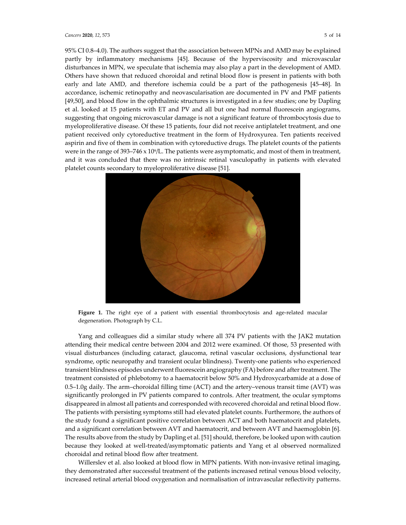95% CI 0.8–4.0). The authors suggest that the association between MPNs and AMD may be explained partly by inflammatory mechanisms [45]. Because of the hyperviscosity and microvascular disturbances in MPN, we speculate that ischemia may also play a part in the development of AMD. Others have shown that reduced choroidal and retinal blood flow is present in patients with both early and late AMD, and therefore ischemia could be a part of the pathogenesis [45–48]. In accordance, ischemic retinopathy and neovascularisation are documented in PV and PMF patients [49,50], and blood flow in the ophthalmic structures is investigated in a few studies; one by Dapling et al. looked at 15 patients with ET and PV and all but one had normal fluorescein angiograms, suggesting that ongoing microvascular damage is not a significant feature of thrombocytosis due to myeloproliferative disease. Of these 15 patients, four did not receive antiplatelet treatment, and one patient received only cytoreductive treatment in the form of Hydroxyurea. Ten patients received aspirin and five of them in combination with cytoreductive drugs. The platelet counts of the patients were in the range of 393–746 x 10<sup>9</sup>/L. The patients were asymptomatic, and most of them in treatment, and it was concluded that there was no intrinsic retinal vasculopathy in patients with elevated platelet counts secondary to myeloproliferative disease [51].



Figure 1. The right eye of a patient with essential thrombocytosis and age-related macular degeneration. Photograph by C.L.

Yang and colleagues did a similar study where all 374 PV patients with the JAK2 mutation attending their medical centre between 2004 and 2012 were examined. Of those, 53 presented with visual disturbances (including cataract, glaucoma, retinal vascular occlusions, dysfunctional tear syndrome, optic neuropathy and transient ocular blindness). Twenty-one patients who experienced transient blindness episodes underwent fluorescein angiography (FA) before and aftertreatment. The treatment consisted of phlebotomy to a haematocrit below 50% and Hydroxycarbamide at a dose of 0.5–1.0g daily. The arm–choroidal filling time (ACT) and the artery–venous transit time (AVT) was significantly prolonged in PV patients compared to controls. After treatment, the ocular symptoms disappeared in almost all patients and corresponded with recovered choroidal and retinal blood flow. The patients with persisting symptoms still had elevated platelet counts. Furthermore, the authors of the study found a significant positive correlation between ACT and both haematocrit and platelets, and a significant correlation between AVT and haematocrit, and between AVT and haemoglobin [6]. The results above from the study by Dapling et al. [51] should, therefore, be looked upon with caution because they looked at well-treated/asymptomatic patients and Yang et al observed normalized choroidal and retinal blood flow after treatment.

Willerslev et al. also looked at blood flow in MPN patients. With non-invasive retinal imaging, they demonstrated after successful treatment of the patients increased retinal venous blood velocity, increased retinal arterial blood oxygenation and normalisation of intravascular reflectivity patterns.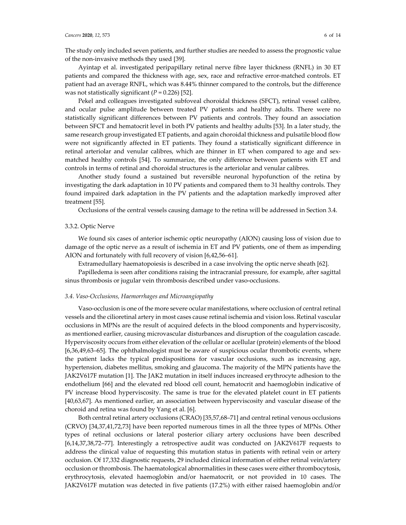The study only included seven patients, and further studies are needed to assess the prognostic value of the non‐invasive methods they used [39].

Ayintap et al. investigated peripapillary retinal nerve fibre layer thickness (RNFL) in 30 ET patients and compared the thickness with age, sex, race and refractive error-matched controls. ET patient had an average RNFL, which was 8.44% thinner compared to the controls, but the difference was not statistically significant  $(P = 0.226)$  [52].

Pekel and colleagues investigated subfoveal choroidal thickness (SFCT), retinal vessel calibre, and ocular pulse amplitude between treated PV patients and healthy adults. There were no statistically significant differences between PV patients and controls. They found an association between SFCT and hematocrit level in both PV patients and healthy adults [53]. In a later study, the same research group investigated ET patients, and again choroidal thickness and pulsatile blood flow were not significantly affected in ET patients. They found a statistically significant difference in retinal arteriolar and venular calibres, which are thinner in ET when compared to age and sexmatched healthy controls [54]. To summarize, the only difference between patients with ET and controls in terms of retinal and choroidal structures is the arteriolar and venular calibres.

Another study found a sustained but reversible neuronal hypofunction of the retina by investigating the dark adaptation in 10 PV patients and compared them to 31 healthy controls. They found impaired dark adaptation in the PV patients and the adaptation markedly improved after treatment [55].

Occlusions of the central vessels causing damage to the retina will be addressed in Section 3.4.

## 3.3.2. Optic Nerve

We found six cases of anterior ischemic optic neuropathy (AION) causing loss of vision due to damage of the optic nerve as a result of ischemia in ET and PV patients, one of them as impending AION and fortunately with full recovery of vision [6,42,56–61].

Extramedullary haematopoiesis is described in a case involving the optic nerve sheath [62].

Papilledema is seen after conditions raising the intracranial pressure, for example, after sagittal sinus thrombosis or jugular vein thrombosis described under vaso-occlusions.

#### *3.4. Vaso‐Occlusions, Haemorrhages and Microangiopathy*

Vaso-occlusion is one of the more severe ocular manifestations, where occlusion of central retinal vessels and the cilioretinal artery in most cases cause retinal ischemia and vision loss. Retinal vascular occlusions in MPNs are the result of acquired defects in the blood components and hyperviscosity, as mentioned earlier, causing microvascular disturbances and disruption of the coagulation cascade. Hyperviscosity occurs from either elevation of the cellular or acellular (protein) elements of the blood [6,36,49,63–65]. The ophthalmologist must be aware of suspicious ocular thrombotic events, where the patient lacks the typical predispositions for vascular occlusions, such as increasing age, hypertension, diabetes mellitus, smoking and glaucoma. The majority of the MPN patients have the JAK2V617F mutation [1]. The JAK2 mutation in itself induces increased erythrocyte adhesion to the endothelium [66] and the elevated red blood cell count, hematocrit and haemoglobin indicative of PV increase blood hyperviscosity. The same is true for the elevated platelet count in ET patients [40,63,67]. As mentioned earlier, an association between hyperviscosity and vascular disease of the choroid and retina was found by Yang et al. [6].

Both central retinal artery occlusions (CRAO) [35,57,68–71] and central retinal venous occlusions (CRVO) [34,37,41,72,73] have been reported numerous times in all the three types of MPNs. Other types of retinal occlusions or lateral posterior ciliary artery occlusions have been described [6,14,37,38,72–77]. Interestingly a retrospective audit was conducted on JAK2V617F requests to address the clinical value of requesting this mutation status in patients with retinal vein or artery occlusion. Of 17,332 diagnostic requests, 29 included clinical information of either retinal vein/artery occlusion or thrombosis. The haematological abnormalities in these cases were either thrombocytosis, erythrocytosis, elevated haemoglobin and/or haematocrit, or not provided in 10 cases. The JAK2V617F mutation was detected in five patients (17.2%) with either raised haemoglobin and/or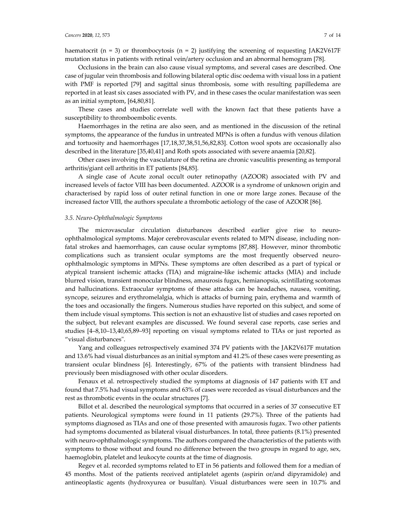haematocrit (n = 3) or thrombocytosis (n = 2) justifying the screening of requesting JAK2V617F mutation status in patients with retinal vein/artery occlusion and an abnormal hemogram [78].

Occlusions in the brain can also cause visual symptoms, and several cases are described. One case of jugular vein thrombosis and following bilateral optic disc oedema with visual loss in a patient with PMF is reported [79] and sagittal sinus thrombosis, some with resulting papilledema are reported in at least six cases associated with PV, and in these cases the ocular manifestation was seen as an initial symptom, [64,80,81].

These cases and studies correlate well with the known fact that these patients have a susceptibility to thromboembolic events.

Haemorrhages in the retina are also seen, and as mentioned in the discussion of the retinal symptoms, the appearance of the fundus in untreated MPNs is often a fundus with venous dilation and tortuosity and haemorrhages [17,18,37,38,51,56,82,83]. Cotton wool spots are occasionally also described in the literature [35,40,41] and Roth spots associated with severe anaemia [20,82].

Other cases involving the vasculature of the retina are chronic vasculitis presenting as temporal arthritis/giant cell arthritis in ET patients [84,85].

A single case of Acute zonal occult outer retinopathy (AZOOR) associated with PV and increased levels of factor VIII has been documented. AZOOR is a syndrome of unknown origin and characterised by rapid loss of outer retinal function in one or more large zones. Because of the increased factor VIII, the authors speculate a thrombotic aetiology of the case of AZOOR [86].

## *3.5. Neuro‐Ophthalmologic Symptoms*

The microvascular circulation disturbances described earlier give rise to neuroophthalmological symptoms. Major cerebrovascular events related to MPN disease, including non‐ fatal strokes and haemorrhages, can cause ocular symptoms [87,88]. However, minor thrombotic complications such as transient ocular symptoms are the most frequently observed neuroophthalmologic symptoms in MPNs. These symptoms are often described as a part of typical or atypical transient ischemic attacks (TIA) and migraine‐like ischemic attacks (MIA) and include blurred vision, transient monocular blindness, amaurosis fugax, hemianopsia, scintillating scotomas and hallucinations. Extraocular symptoms of these attacks can be headaches, nausea, vomiting, syncope, seizures and erythromelalgia, which is attacks of burning pain, erythema and warmth of the toes and occasionally the fingers. Numerous studies have reported on this subject, and some of them include visual symptoms. This section is not an exhaustive list of studies and cases reported on the subject, but relevant examples are discussed. We found several case reports, case series and studies [4–8,10–13,40,65,89–93] reporting on visual symptoms related to TIAs or just reported as "visual disturbances".

Yang and colleagues retrospectively examined 374 PV patients with the JAK2V617F mutation and 13.6% had visual disturbances as an initial symptom and 41.2% of these cases were presenting as transient ocular blindness [6]. Interestingly, 67% of the patients with transient blindness had previously been misdiagnosed with other ocular disorders.

Fenaux et al. retrospectively studied the symptoms at diagnosis of 147 patients with ET and found that 7.5% had visual symptoms and 63% of cases were recorded as visual disturbances and the rest as thrombotic events in the ocular structures [7].

Billot et al. described the neurological symptoms that occurred in a series of 37 consecutive ET patients. Neurological symptoms were found in 11 patients (29.7%). Three of the patients had symptoms diagnosed as TIAs and one of those presented with amaurosis fugax. Two other patients had symptoms documented as bilateral visual disturbances. In total, three patients (8.1%) presented with neuro-ophthalmologic symptoms. The authors compared the characteristics of the patients with symptoms to those without and found no difference between the two groups in regard to age, sex, haemoglobin, platelet and leukocyte counts at the time of diagnosis.

Regev et al. recorded symptoms related to ET in 56 patients and followed them for a median of 45 months. Most of the patients received antiplatelet agents (aspirin or/and dipyramidole) and antineoplastic agents (hydroxyurea or busulfan). Visual disturbances were seen in 10.7% and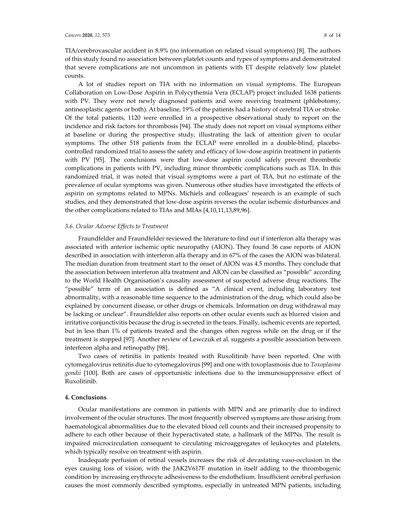TIA/cerebrovascular accident in 8.9% (no information on related visual symptoms) [8]. The authors of this study found no association between platelet counts and types of symptoms and demonstrated that severe complications are not uncommon in patients with ET despite relatively low platelet counts.

A lot of studies report on TIA with no information on visual symptoms. The European Collaboration on Low‐Dose Aspirin in Polycythemia Vera (ECLAP) project included 1638 patients with PV. They were not newly diagnosed patients and were receiving treatment (phlebotomy, antineoplastic agents or both). At baseline, 19% of the patients had a history of cerebral TIA or stroke. Of the total patients, 1120 were enrolled in a prospective observational study to report on the incidence and risk factors for thrombosis [94]. The study does not report on visual symptoms either at baseline or during the prospective study, illustrating the lack of attention given to ocular symptoms. The other 518 patients from the ECLAP were enrolled in a double-blind, placebocontrolled randomized trial to assess the safety and efficacy of low‐dose aspirin treatment in patients with PV [95]. The conclusions were that low-dose aspirin could safely prevent thrombotic complications in patients with PV, including minor thrombotic complications such as TIA. In this randomized trial, it was noted that visual symptoms were a part of TIA, but no estimate of the prevalence of ocular symptoms was given. Numerous other studies have investigated the effects of aspirin on symptoms related to MPNs. Michiels and colleagues' research is an example of such studies, and they demonstrated that low‐dose aspirin reverses the ocular ischemic disturbances and the other complications related to TIAs and MIAs [4,10,11,13,89,96].

# *3.6. Ocular Adverse Effects to Treatment*

Fraundfelder and Fraundfelder reviewed the literature to find out if interferon alfa therapy was associated with anterior ischemic optic neuropathy (AION). They found 36 case reports of AION described in association with interferon alfa therapy and in 67% of the cases the AION was bilateral. The median duration from treatment start to the onset of AION was 4.5 months. They conclude that the association between interferon alfa treatment and AION can be classified as "possible" according to the World Health Organisation's causality assessment of suspected adverse drug reactions. The "possible" term of an association is defined as "A clinical event, including laboratory test abnormality, with a reasonable time sequence to the administration of the drug, which could also be explained by concurrent disease, or other drugs or chemicals. Information on drug withdrawal may be lacking or unclear". Fraundfelder also reports on other ocular events such as blurred vision and irritative conjunctivitis because the drug is secreted in the tears. Finally, ischemic events are reported, but in less than 1% of patients treated and the changes often regress while on the drug or if the treatment is stopped [97]. Another review of Lewczuk et al. suggests a possible association between interferon alpha and retinopathy [98].

Two cases of retinitis in patients treated with Ruxolitinib have been reported. One with cytomegalovirus retinitis due to cytomegalovirus [99] and one with toxoplasmosis due to *Toxoplasma gondii* [100]. Both are cases of opportunistic infections due to the immunosuppressive effect of Ruxolitinib.

## **4. Conclusions**

Ocular manifestations are common in patients with MPN and are primarily due to indirect involvement of the ocular structures. The most frequently observed symptoms are those arising from haematological abnormalities due to the elevated blood cell counts and their increased propensity to adhere to each other because of their hyperactivated state, a hallmark of the MPNs. The result is impaired microcirculation consequent to circulating microaggregates of leukocytes and platelets, which typically resolve on treatment with aspirin.

Inadequate perfusion of retinal vessels increases the risk of devastating vaso‐occlusion in the eyes causing loss of vision, with the JAK2V617F mutation in itself adding to the thrombogenic condition by increasing erythrocyte adhesiveness to the endothelium. Insufficient cerebral perfusion causes the most commonly described symptoms, especially in untreated MPN patients, including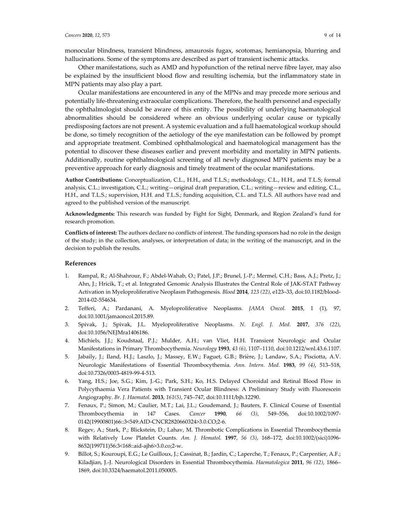monocular blindness, transient blindness, amaurosis fugax, scotomas, hemianopsia, blurring and hallucinations. Some of the symptoms are described as part of transient ischemic attacks.

Other manifestations, such as AMD and hypofunction of the retinal nerve fibre layer, may also be explained by the insufficient blood flow and resulting ischemia, but the inflammatory state in MPN patients may also play a part.

Ocular manifestations are encountered in any of the MPNs and may precede more serious and potentially life-threatening extraocular complications. Therefore, the health personnel and especially the ophthalmologist should be aware of this entity. The possibility of underlying haematological abnormalities should be considered where an obvious underlying ocular cause or typically predisposing factors are not present. A systemic evaluation and a full haematological workup should be done, so timely recognition of the aetiology of the eye manifestation can be followed by prompt and appropriate treatment. Combined ophthalmological and haematological management has the potential to discover these diseases earlier and prevent morbidity and mortality in MPN patients. Additionally, routine ophthalmological screening of all newly diagnosed MPN patients may be a preventive approach for early diagnosis and timely treatment of the ocular manifestations.

**Author Contributions:** Conceptualization, C.L., H.H., and T.L.S.; methodology, C.L., H.H., and T.L.S; formal analysis, C.L.; investigation, C.L.; writing—original draft preparation, C.L.; writing—review and editing, C.L., H.H., and T.L.S.; supervision, H.H. and T.L.S.; funding acquisition, C.L. and T.L.S. All authors have read and agreed to the published version of the manuscript.

**Acknowledgments:** This research was funded by Fight for Sight, Denmark, and Region Zealand's fund for research promotion.

**Conflicts of interest:** The authors declare no conflicts of interest. The funding sponsors had no role in the design of the study; in the collection, analyses, or interpretation of data; in the writing of the manuscript, and in the decision to publish the results.

#### **References**

- 1. Rampal, R.; Al‐Shahrour, F.; Abdel‐Wahab, O.; Patel, J.P.; Brunel, J.‐P.; Mermel, C.H.; Bass, A.J.; Pretz, J.; Ahn, J.; Hricik, T.; et al. Integrated Genomic Analysis Illustrates the Central Role of JAK‐STAT Pathway Activation in Myeloproliferative Neoplasm Pathogenesis. *Blood* **2014**, *123 (22)*, e123–33, doi:10.1182/blood‐ 2014‐02‐554634.
- 2. Tefferi, A.; Pardanani, A. Myeloproliferative Neoplasms. *JAMA Oncol.* **2015**, 1 (1), 97, doi:10.1001/jamaoncol.2015.89.
- 3. Spivak, J.; Spivak, J.L. Myeloproliferative Neoplasms. *N. Engl. J. Med.* **2017**, *376 (22)*, doi:10.1056/NEJMra1406186.
- 4. Michiels, J.J.; Koudstaal, P.J.; Mulder, A.H.; van Vliet, H.H. Transient Neurologic and Ocular Manifestations in Primary Thrombocythemia. *Neurology* **1993**, *43 (6)*, 1107–1110, doi:10.1212/wnl.43.6.1107.
- 5. Jabaily, J.; Iland, H.J.; Laszlo, J.; Massey, E.W.; Faguet, G.B.; Brière, J.; Landaw, S.A.; Pisciotta, A.V. Neurologic Manifestations of Essential Thrombocythemia. *Ann. Intern. Med.* **1983**, *99 (4)*, 513–518, doi:10.7326/0003‐4819‐99‐4‐513.
- 6. Yang, H.S.; Joe, S.G.; Kim, J.‐G.; Park, S.H.; Ko, H.S. Delayed Choroidal and Retinal Blood Flow in Polycythaemia Vera Patients with Transient Ocular Blindness: A Preliminary Study with Fluorescein Angiography. *Br. J. Haematol.* **2013**, *161(5)*, 745–747, doi:10.1111/bjh.12290.
- 7. Fenaux, P.; Simon, M.; Caulier, M.T.; Lai, J.L.; Goudemand, J.; Bauters, F. Clinical Course of Essential Thrombocythemia in 147 Cases. *Cancer* **1990**, *66 (3)*, 549–556, doi:10.1002/1097‐ 0142(19900801)66::3<549:AID‐CNCR2820660324>3.0.CO;2‐6.
- 8. Regev, A.; Stark, P.; Blickstein, D.; Lahav, M. Thrombotic Complications in Essential Thrombocythemia with Relatively Low Platelet Counts. *Am. J. Hematol.* **1997**, *56 (3)*, 168–172, doi:10.1002/(sici)1096‐ 8652(199711)56:3<168::aid‐ajh6>3.0.co;2‐w.
- 9. Billot, S.; Kouroupi, E.G.; Le Guilloux, J.; Cassinat, B.; Jardin, C.; Laperche, T.; Fenaux, P.; Carpentier, A.F.; Kiladjian, J.‐J. Neurological Disorders in Essential Thrombocythemia. *Haematologica* **2011**, *96 (12)*, 1866– 1869, doi:10.3324/haematol.2011.050005.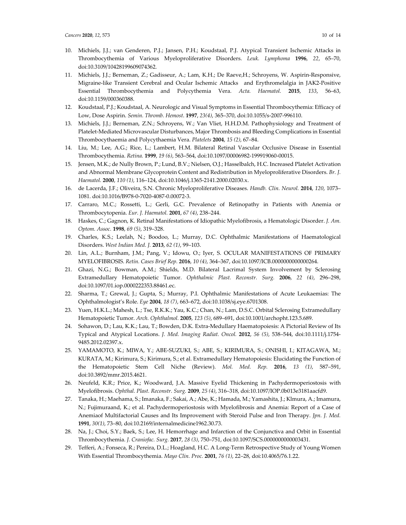- 10. Michiels, J.J.; van Genderen, P.J.; Jansen, P.H.; Koudstaal, P.J. Atypical Transient Ischemic Attacks in Thrombocythemia of Various Myeloproliferative Disorders. *Leuk. Lymphoma* **1996**, *22*, 65–70, doi:10.3109/10428199609074362.
- 11. Michiels, J.J.; Berneman, Z.; Gadisseur, A.; Lam, K.H.; De Raeve,H.; Schroyens, W. Aspirin‐Responsive, Migraine-like Transient Cerebral and Ocular Ischemic Attacks and Erythromelalgia in JAK2-Positive Essential Thrombocythemia and Polycythemia Vera. *Acta. Haematol.* **2015**, *133*, 56–63, doi:10.1159/000360388.
- 12. Koudstaal, P.J.; Koudstaal, A. Neurologic and Visual Symptoms in Essential Thrombocythemia: Efficacy of Low, Dose Aspirin. *Semin. Thromb. Hemost*. **1997**, *23(4)*, 365–370, doi:10.1055/s‐2007‐996110.
- 13. Michiels, J.J.; Berneman, Z.N.; Schroyens, W.; Van Vliet, H.H.D.M. Pathophysiology and Treatment of Platelet‐Mediated Microvascular Disturbances, Major Thrombosis and Bleeding Complications in Essential Thrombocythaemia and Polycythaemia Vera. *Platelets* **2004**, *15 (2)*, 67–84.
- 14. Liu, M.; Lee, A.G.; Rice, L.; Lambert, H.M. Bilateral Retinal Vascular Occlusive Disease in Essential Thrombocythemia. *Retina.* **1999**, *19 (6)*, 563–564, doi:10.1097/00006982‐199919060‐00015.
- 15. Jensen, M.K.; de Nully Brown, P.; Lund, B.V.; Nielsen, O.J.; Hasselbalch, H.C. Increased Platelet Activation and Abnormal Membrane Glycoprotein Content and Redistribution in Myeloproliferative Disorders. *Br. J. Haematol.* **2000**, *110 (1)*, 116–124, doi:10.1046/j.1365‐2141.2000.02030.x.
- 16. de Lacerda, J.F.; Oliveira, S.N. Chronic Myeloproliferative Diseases. *Handb. Clin. Neurol.* **2014**, *120*, 1073– 1081. doi:10.1016/B978‐0‐7020‐4087‐0.00072‐3.
- 17. Carraro, M.C.; Rossetti, L.; Gerli, G.C. Prevalence of Retinopathy in Patients with Anemia or Thrombocytopenia. *Eur. J. Haematol.* **2001**, *67 (4)*, 238–244.
- 18. Haskes, C.; Gagnon, K. Retinal Manifestations of Idiopathic Myelofibrosis, a Hematologic Disorder. *J. Am. Optom. Assoc.* **1998**, *69 (5)*, 319–328.
- 19. Charles, K.S.; Leelah, N.; Boodoo, L.; Murray, D.C. Ophthalmic Manifestations of Haematological Disorders. *West Indian Med. J.* **2013**, *62 (1)*, 99–103.
- 20. Lin, A.L.; Burnham, J.M.; Pang, V.; Idowu, O.; Iyer, S. OCULAR MANIFESTATIONS OF PRIMARY MYELOFIBROSIS. *Retin. Cases Brief Rep.* **2016**, *10 (4)*, 364–367, doi:10.1097/ICB.0000000000000264.
- 21. Ghazi, N.G.; Bowman, A.M.; Shields, M.D. Bilateral Lacrimal System Involvement by Sclerosing Extramedullary Hematopoietic Tumor. *Ophthalmic Plast. Reconstr. Surg.* **2006**, *22 (4)*, 296–298, doi:10.1097/01.iop.0000222353.88461.ec.
- 22. Sharma, T.; Grewal, J.; Gupta, S.; Murray, P.I. Ophthalmic Manifestations of Acute Leukaemias: The Ophthalmologist's Role. *Eye* **2004**, *18 (7)*, 663–672, doi:10.1038/sj.eye.6701308.
- 23. Yuen, H.K.L.; Mahesh, L.; Tse, R.K.K.; Yau, K.C.; Chan, N.; Lam, D.S.C. Orbital Sclerosing Extramedullary Hematopoietic Tumor. *Arch. Ophthalmol.* **2005**, *123 (5)*, 689–691, doi:10.1001/archopht.123.5.689.
- 24. Sohawon, D.; Lau, K.K.; Lau, T.; Bowden, D.K. Extra‐Medullary Haematopoiesis: A Pictorial Review of Its Typical and Atypical Locations. *J. Med. Imaging Radiat. Oncol.* **2012**, *56 (5)*, 538–544, doi:10.1111/j.1754‐ 9485.2012.02397.x.
- 25. YAMAMOTO, K.; MIWA, Y.; ABE‐SUZUKI, S.; ABE, S.; KIRIMURA, S.; ONISHI, I.; KITAGAWA, M.; KURATA, M.; Kirimura, S.; Kirimura, S.; et al. Extramedullary Hematopoiesis: Elucidating the Function of the Hematopoietic Stem Cell Niche (Review). *Mol. Med. Rep.* **2016**, *13 (1)*, 587–591, doi:10.3892/mmr.2015.4621.
- 26. Neufeld, K.R.; Price, K.; Woodward, J.A. Massive Eyelid Thickening in Pachydermoperiostosis with Myelofibrosis. *Ophthal. Plast. Reconstr. Surg.* **2009**, *25 (4)*, 316–318, doi:10.1097/IOP.0b013e3181aacfd9.
- 27. Tanaka, H.; Maehama, S.; Imanaka, F.; Sakai, A.; Abe, K.; Hamada, M.; Yamashita, J.; Klmura, A.; Imamura, N.; Fujimuraand, K.; et al. Pachydermoperiostosis with Myelofibrosis and Anemia: Report of a Case of Anemiaof Multifactorial Causes and Its Improvement with Steroid Pulse and Iron Therapy. *Jpn. J. Med.* **1991**, *30(1)*, 73–80, doi:10.2169/internalmedicine1962.30.73.
- 28. Na, J.; Choi, S.Y.; Baek, S.; Lee, H. Hemorrhage and Infarction of the Conjunctiva and Orbit in Essential Thrombocythemia. *J. Craniofac. Surg.* **2017**, *28 (3)*, 750–751, doi:10.1097/SCS.0000000000003431.
- 29. Tefferi, A.; Fonseca, R.; Pereira, D.L.; Hoagland, H.C. A Long‐Term Retrospective Study of Young Women With Essential Thrombocythemia. *Mayo Clin. Proc.* **2001**, *76 (1)*, 22–28, doi:10.4065/76.1.22.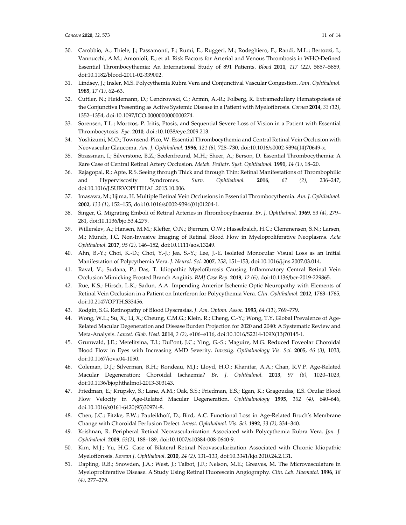- 30. Carobbio, A.; Thiele, J.; Passamonti, F.; Rumi, E.; Ruggeri, M.; Rodeghiero, F.; Randi, M.L.; Bertozzi, I.; Vannucchi, A.M.; Antonioli, E.; et al. Risk Factors for Arterial and Venous Thrombosis in WHO‐Defined Essential Thrombocythemia: An International Study of 891 Patients. *Blood* **2011**, *117 (22)*, 5857–5859, doi:10.1182/blood‐2011‐02‐339002.
- 31. Lindsey, J.; Insler, M.S. Polycythemia Rubra Vera and Conjunctival Vascular Congestion. *Ann. Ophthalmol.* **1985**, *17 (1)*, 62–63.
- 32. Cuttler, N.; Heidemann, D.; Cendrowski, C.; Armin, A.‐R.; Folberg, R. Extramedullary Hematopoiesis of the Conjunctiva Presenting as Active Systemic Disease in a Patient with Myelofibrosis. *Cornea* **2014**, *33 (12)*, 1352–1354, doi:10.1097/ICO.0000000000000274.
- 33. Sorensen, T.L.; Mortzos, P. Iritis, Ptosis, and Sequential Severe Loss of Vision in a Patient with Essential Thrombocytosis. *Eye*. **2010**, doi.:10.1038/eye.2009.213.
- 34. Yoshizumi, M.O.; Townsend‐Pico, W. Essential Thrombocythemia and Central Retinal Vein Occlusion with Neovascular Glaucoma. *Am. J. Ophthalmol.* **1996**, *121 (6)*, 728–730, doi:10.1016/s0002‐9394(14)70649‐x.
- 35. Strassman, I.; Silverstone, B.Z.; Seelenfreund, M.H.; Sheer, A.; Berson, D. Essential Thrombocythemia: A Rare Case of Central Retinal Artery Occlusion. *Metab. Pediatr. Syst. Ophthalmol.* **1991**, *14 (1)*, 18–20.
- 36. Rajagopal, R.; Apte, R.S. Seeing through Thick and through Thin: Retinal Manifestations of Thrombophilic and Hyperviscosity Syndromes. *Surv. Ophthalmol.* **2016**, *61 (2)*, 236–247, doi:10.1016/J.SURVOPHTHAL.2015.10.006.
- 37. Imasawa, M.; Iijima, H. Multiple Retinal Vein Occlusions in Essential Thrombocythemia. *Am. J. Ophthalmol.* **2002**, *133 (1)*, 152–155, doi:10.1016/s0002‐9394(01)01204‐1.
- 38. Singer, G. Migrating Emboli of Retinal Arteries in Thrombocythaemia. *Br. J. Ophthalmol.* **1969**, *53 (4)*, 279– 281, doi:10.1136/bjo.53.4.279.
- 39. Willerslev, A.; Hansen, M.M.; Klefter, O.N.; Bjerrum, O.W.; Hasselbalch, H.C.; Clemmensen, S.N.; Larsen, M.; Munch, I.C. Non‐Invasive Imaging of Retinal Blood Flow in Myeloproliferative Neoplasms. *Acta Ophthalmol.* **2017**, *95 (2)*, 146–152, doi:10.1111/aos.13249.
- 40. Ahn, B.‐Y.; Choi, K.‐D.; Choi, Y.‐J.; Jea, S.‐Y.; Lee, J.‐E. Isolated Monocular Visual Loss as an Initial Manifestation of Polycythemia Vera. *J. Neurol. Sci.* **2007**, *258*, 151–153, doi:10.1016/j.jns.2007.03.014.
- 41. Raval, V.; Sudana, P.; Das, T. Idiopathic Myelofibrosis Causing Inflammatory Central Retinal Vein Occlusion Mimicking Frosted Branch Angiitis. *BMJ Case Rep.* **2019**, *12 (6)*, doi:10.1136/bcr‐2019‐229865.
- 42. Rue, K.S.; Hirsch, L.K.; Sadun, A.A. Impending Anterior Ischemic Optic Neuropathy with Elements of Retinal Vein Occlusion in a Patient on Interferon for Polycythemia Vera. *Clin. Ophthalmol.* **2012**, 1763–1765, doi:10.2147/OPTH.S33456.
- 43. Rodgin, S.G. Retinopathy of Blood Dyscrasias. *J. Am. Optom. Assoc.* **1993**, *64 (11)*, 769–779.
- 44. Wong, W.L.; Su, X.; Li, X.; Cheung, C.M.G.; Klein, R.; Cheng, C.-Y.; Wong, T.Y. Global Prevalence of Age-Related Macular Degeneration and Disease Burden Projection for 2020 and 2040: A Systematic Review and Meta‐Analysis. *Lancet. Glob. Heal.* **2014**, *2 (2)*, e106–e116, doi:10.1016/S2214‐109X(13)70145‐1.
- 45. Grunwald, J.E.; Metelitsina, T.I.; DuPont, J.C.; Ying, G.‐S.; Maguire, M.G. Reduced Foveolar Choroidal Blood Flow in Eyes with Increasing AMD Severity. *Investig. Opthalmology Vis. Sci.* **2005**, *46 (3)*, 1033, doi:10.1167/iovs.04‐1050.
- 46. Coleman, D.J.; Silverman, R.H.; Rondeau, M.J.; Lloyd, H.O.; Khanifar, A.A.; Chan, R.V.P. Age‐Related Macular Degeneration: Choroidal Ischaemia? *Br. J. Ophthalmol.* **2013**, *97 (8)*, 1020–1023, doi:10.1136/bjophthalmol‐2013‐303143.
- 47. Friedman, E.; Krupsky, S.; Lane, A.M.; Oak, S.S.; Friedman, E.S.; Egan, K.; Gragoudas, E.S. Ocular Blood Flow Velocity in Age‐Related Macular Degeneration. *Ophthalmology* **1995**, *102 (4)*, 640–646, doi:10.1016/s0161‐6420(95)30974‐8.
- 48. Chen, J.C.; Fitzke, F.W.; Pauleikhoff, D.; Bird, A.C. Functional Loss in Age-Related Bruch's Membrane Change with Choroidal Perfusion Defect. *Invest. Ophthalmol. Vis. Sci.* **1992**, *33 (2)*, 334–340.
- 49. Krishnan, R. Peripheral Retinal Neovascularization Associated with Polycythemia Rubra Vera. *Jpn. J. Ophthalmol*. **2009**, *53(2)*, 188–189, doi:10.1007/s10384‐008‐0640‐9.
- 50. Kim, M.J.; Yu, H.G. Case of Bilateral Retinal Neovascularization Associated with Chronic Idiopathic Myelofibrosis. *Korean J. Ophthalmol.* **2010**, *24 (2)*, 131–133, doi:10.3341/kjo.2010.24.2.131.
- 51. Dapling, R.B.; Snowden, J.A.; West, J.; Talbot, J.F.; Nelson, M.E.; Greaves, M. The Microvasculature in Myeloproliferative Disease. A Study Using Retinal Fluorescein Angiography. *Clin. Lab. Haematol.* **1996**, *18 (4)*, 277–279.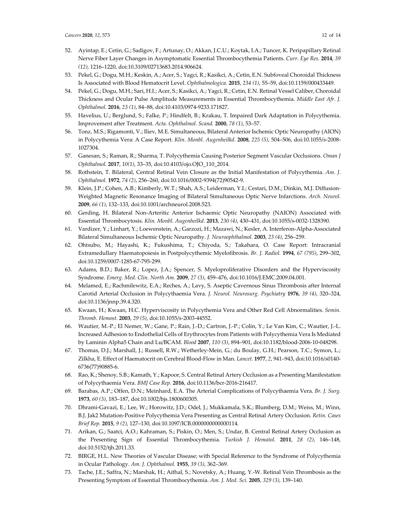- 52. Ayintap, E.; Cetin, G.; Sadigov, F.; Artunay, O.; Akkan, J.C.U.; Koytak, I.A.; Tuncer, K. Peripapillary Retinal Nerve Fiber Layer Changes in Asymptomatic Essential Thrombocythemia Patients. *Curr. Eye Res.* **2014**, *39 (12)*, 1216–1220, doi:10.3109/02713683.2014.906624.
- 53. Pekel, G.; Dogu, M.H.; Keskin, A.; Acer, S.; Yagci, R.; Kasikci, A.; Cetin, E.N. Subfoveal Choroidal Thickness Is Associated with Blood Hematocrit Level. *Ophthalmologica.* **2015**, *234 (1)*, 55–59, doi:10.1159/000433449.
- 54. Pekel, G.; Dogu, M.H.; Sari, H.I.; Acer, S.; Kasikci, A.; Yagci, R.; Cetin, E.N. Retinal Vessel Caliber, Choroidal Thickness and Ocular Pulse Amplitude Measurements in Essential Thrombocythemia. *Middle East Afr. J. Ophthalmol.* **2016**, *23 (1)*, 84–88, doi:10.4103/0974‐9233.171827.
- 55. Havelius, U.; Berglund, S.; Falke, P.; Hindfelt, B.; Krakau, T. Impaired Dark Adaptation in Polycythemia. Improvement after Treatment. *Acta. Ophthalmol. Scand.* **2000**, *78 (1)*, 53–57.
- 56. Tonz, M.S.; Rigamonti, V.; Iliev, M.E. Simultaneous, Bilateral Anterior Ischemic Optic Neuropathy (AION) in Polycythemia Vera: A Case Report. *Klin. Monbl. Augenheilkd.* **2008**, *225 (5)*, 504–506, doi:10.1055/s‐2008‐ 1027304.
- 57. Ganesan, S.; Raman, R.; Sharma, T. Polycythemia Causing Posterior Segment Vascular Occlusions. *Oman J Ophthalmol*. **2017**, *10(1)*, 33–35, doi:10.4103/ojo.OJO\_110\_2014.
- 58. Rothstein, T. Bilateral, Central Retinal Vein Closure as the Initial Manifestation of Polycythemia. *Am. J. Ophthalmol.* **1972**, *74 (2)*, 256–260, doi:10.1016/0002‐9394(72)90542‐9.
- 59. Klein, J.P.; Cohen, A.B.; Kimberly, W.T.; Shah, A.S.; Leiderman, Y.I.; Cestari, D.M.; Dinkin, M.J. Diffusion‐ Weighted Magnetic Resonance Imaging of Bilateral Simultaneous Optic Nerve Infarctions. *Arch. Neurol.* **2009**, *66 (1)*, 132–133, doi:10.1001/archneurol.2008.523.
- 60. Gerding, H. Bilateral Non‐Arteritic Anterior Ischaemic Optic Neuropathy (NAION) Associated with Essential Thrombocytosis. *Klin. Monbl. Augenheilkd.* **2013**, *230 (4)*, 430–431, doi:10.1055/s‐0032‐1328390.
- 61. Vardizer, Y.; Linhart, Y.; Loewenstein, A.; Garzozi, H.; Mazawi, N.; Kesler, A. Interferon‐Alpha‐Associated Bilateral Simultaneous Ischemic Optic Neuropathy. *J. Neuroophthalmol.* **2003**, *23 (4)*, 256–259.
- 62. Ohtsubo, M.; Hayashi, K.; Fukushima, T.; Chiyoda, S.; Takahara, O. Case Report: Intracranial Extramedullary Haematopoiesis in Postpolycythemic Myelofibrosis. *Br. J. Radiol.* **1994**, *67 (795)*, 299–302, doi:10.1259/0007‐1285‐67‐795‐299.
- 63. Adams, B.D.; Baker, R.; Lopez, J.A.; Spencer, S. Myeloproliferative Disorders and the Hyperviscosity Syndrome. *Emerg. Med. Clin. North Am.* **2009**, *27 (3)*, 459–476, doi:10.1016/J.EMC.2009.04.001.
- 64. Melamed, E.; Rachmilewitz, E.A.; Reches, A.; Lavy, S. Aseptic Cavernous Sinus Thrombosis after Internal Carotid Arterial Occlusion in Polycythaemia Vera. *J. Neurol. Neurosurg. Psychiatry* **1976**, *39 (4)*, 320–324, doi:10.1136/jnnp.39.4.320.
- 65. Kwaan, H.; Kwaan, H.C. Hyperviscosity in Polycythemia Vera and Other Red Cell Abnormalities. *Semin. Thromb. Hemost.* **2003**, *29 (5)*, doi:10.1055/s‐2003‐44552.
- 66. Wautier, M.‐P.; El Nemer, W.; Gane, P.; Rain, J.‐D.; Cartron, J.‐P.; Colin, Y.; Le Van Kim, C.; Wautier, J.‐L. Increased Adhesion to Endothelial Cells of Erythrocytes from Patients with Polycythemia Vera Is Mediated by Laminin Alpha5 Chain and Lu/BCAM. *Blood* **2007**, *110 (3)*, 894–901, doi:10.1182/blood‐2006‐10‐048298.
- 67. Thomas, D.J.; Marshall, J.; Russell, R.W.; Wetherley‐Mein, G.; du Boulay, G.H.; Pearson, T.C.; Symon, L.; Zilkha, E. Effect of Haematocrit on Cerebral Blood‐Flow in Man. *Lancet.* **1977**, *2*, 941–943, doi:10.1016/s0140‐ 6736(77)90885‐6.
- 68. Rao, K.; Shenoy, S.B.; Kamath, Y.; Kapoor, S. Central Retinal Artery Occlusion as a Presenting Manifestation of Polycythaemia Vera. *BMJ Case Rep.* **2016**, doi:10.1136/bcr‐2016‐216417.
- 69. Barabas, A.P.; Offen, D.N.; Meinhard, E.A. The Arterial Complications of Polycythaemia Vera. *Br. J. Surg.* **1973**, *60 (3)*, 183–187, doi:10.1002/bjs.1800600305.
- 70. Dhrami‐Gavazi, E.; Lee, W.; Horowitz, J.D.; Odel, J.; Mukkamala, S.K.; Blumberg, D.M.; Weiss, M.; Winn, B.J. Jak2 Mutation‐Positive Polycythemia Vera Presenting as Central Retinal Artery Occlusion. *Retin. Cases Brief Rep.* **2015**, *9 (2)*, 127–130, doi:10.1097/ICB.0000000000000114.
- 71. Arikan, G.; Saatci, A.O.; Kahraman, S.; Piskin, O.; Men, S.; Undar, B. Central Retinal Artery Occlusion as the Presenting Sign of Essential Thrombocythemia. *Turkish J. Hematol.* **2011**, *28 (2)*, 146–148, doi:10.5152/tjh.2011.33.
- 72. BIRGE, H.L. New Theories of Vascular Disease; with Special Reference to the Syndrome of Polycythemia in Ocular Pathology. *Am. J. Ophthalmol.* **1955**, *39 (3)*, 362–369.
- 73. Tache, J.E.; Saffra, N.; Marshak, H.; Aithal, S.; Novetsky, A.; Huang, Y.‐W. Retinal Vein Thrombosis as the Presenting Symptom of Essential Thrombocythemia. *Am. J. Med. Sci.* **2005**, *329 (3)*, 139–140.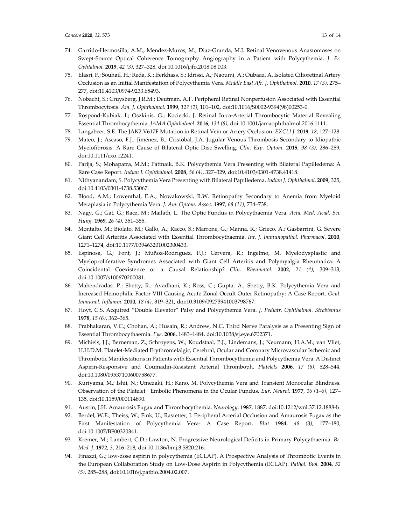- 75. Elasri, F.; Souhail, H.; Reda, K.; Iferkhass, S.; Idrissi, A.; Naoumi, A.; Oubaaz, A. Isolated Cilioretinal Artery Occlusion as an Initial Manifestation of Polycythemia Vera. *Middle East Afr. J. Ophthalmol.* **2010**, *17 (3)*, 275– 277, doi:10.4103/0974‐9233.65493.
- 76. Nobacht, S.; Cruysberg, J.R.M.; Deutman, A.F. Peripheral Retinal Nonperfusion Associated with Essential Thrombocytosis. *Am. J. Ophthalmol.* **1999**, *127 (1)*, 101–102, doi:10.1016/S0002‐9394(98)00253‐0.
- 77. Rospond-Kubiak, I.; Oszkinis, G.; Kociecki, J. Retinal Intra-Arterial Thrombocytic Material Revealing Essential Thrombocythemia. *JAMA Ophthalmol.* **2016**, *134 (8)*, doi:10.1001/jamaophthalmol.2016.1111.
- 78. Langabeer, S.E. The JAK2 V617F Mutation in Retinal Vein or Artery Occlusion. *EXCLI J.* **2019**, *18*, 127–128.
- 79. Mateo, J.; Ascaso, F.J.; Jiménez, B.; Cristóbal, J.A. Jugular Venous Thrombosis Secondary to Idiopathic Myelofibrosis: A Rare Cause of Bilateral Optic Disc Swelling. *Clin. Exp. Optom.* **2015**, *98 (3)*, 286–289, doi:10.1111/cxo.12241.
- 80. Parija, S.; Mohapatra, M.M.; Pattnaik, B.K. Polycythemia Vera Presenting with Bilateral Papilledema: A Rare Case Report. *Indian J. Ophthalmol.* **2008**, *56 (4)*, 327–329, doi:10.4103/0301‐4738.41418.
- 81. Nithyanandam, S. Polycythemia Vera Presenting with Bilateral Papilledema. *Indian J. Ophthalmol*. **2009**, 325, doi:10.4103/0301‐4738.53067.
- 82. Blood, A.M.; Lowenthal, E.A.; Nowakowski, R.W. Retinopathy Secondary to Anemia from Myeloid Metaplasia in Polycythemia Vera. *J. Am. Optom. Assoc.* **1997**, *68 (11)*, 734–738.
- 83. Nagy, G.; Gat, G.; Racz, M.; Mailath, L. The Optic Fundus in Polycythaemia Vera. *Acta. Med. Acad. Sci. Hung.* **1969**, *26 (4)*, 351–355.
- 84. Montalto, M.; Biolato, M.; Gallo, A.; Racco, S.; Marrone, G.; Manna, R.; Grieco, A.; Gasbarrini, G. Severe Giant Cell Arteritis Associated with Essential Thrombocythaemia. *Int. J. Immunopathol. Pharmacol.* **2010**, 1271–1274, doi:10.1177/039463201002300433.
- 85. Espinosa, G.; Font, J.; Muñoz‐Rodríguez, F.J.; Cervera, R.; Ingelmo, M. Myelodysplastic and Myeloproliferative Syndromes Associated with Giant Cell Arteritis and Polymyalgia Rheumatica: A Coincidental Coexistence or a Causal Relationship? *Clin. Rheumatol.* **2002**, *21 (4)*, 309–313, doi:10.1007/s100670200081.
- 86. Mahendradas, P.; Shetty, R.; Avadhani, K.; Ross, C.; Gupta, A.; Shetty, B.K. Polycythemia Vera and Increased Hemophilic Factor VIII Causing Acute Zonal Occult Outer Retinopathy: A Case Report. *Ocul. Immunol. Inflamm.* **2010**, *18 (4)*, 319–321, doi:10.3109/09273941003798767.
- 87. Hoyt, C.S. Acquired "Double Elevator" Palsy and Polycythemia Vera. *J. Pediatr. Ophthalmol. Strabismus* **1978**, *15 (6)*, 362–365.
- 88. Prabhakaran, V.C.; Chohan, A.; Husain, R.; Andrew, N.C. Third Nerve Paralysis as a Presenting Sign of Essential Thrombocythaemia. *Eye*. **2006**, 1483–1484, doi:10.1038/sj.eye.6702371.
- 89. Michiels, J.J.; Berneman, Z.; Schroyens, W.; Koudstaal, P.J.; Lindemans, J.; Neumann, H.A.M.; van Vliet, H.H.D.M. Platelet-Mediated Erythromelalgic, Cerebral, Ocular and Coronary Microvascular Ischemic and Thrombotic Manifestations in Patients with Essential Thrombocythemia and Polycythemia Vera: A Distinct Aspirin‐Responsive and Coumadin‐Resistant Arterial Thromboph. *Platelets* **2006**, *17 (8)*, 528–544, doi:10.1080/09537100600758677.
- 90. Kuriyama, M.; Ishii, N.; Umezaki, H.; Kano, M. Polycythemia Vera and Transient Monocular Blindness. Observation of the Platelet Embolic Phenomena in the Ocular Fundus. *Eur. Neurol.* **1977**, *16 (1–6)*, 127– 135, doi:10.1159/000114890.
- 91. Austin, J.H. Amaurosis Fugax and Thrombocythemia. *Neurology*. **1987**, 1887, doi:10.1212/wnl.37.12.1888‐b.
- 92. Berdel, W.E.; Theiss, W.; Fink, U.; Rastetter, J. Peripheral Arterial Occlusion and Amaurosis Fugax as the First Manifestation of Polycythemia Vera‐ A Case Report. *Blut* **1984**, *48 (3)*, 177–180, doi:10.1007/BF00320341.
- 93. Kremer, M.; Lambert, C.D.; Lawton, N. Progressive Neurological Deficits in Primary Polycythaemia. *Br. Med. J.* **1972**, *3*, 216–218, doi:10.1136/bmj.3.5820.216.
- 94. Finazzi, G.; low‐dose aspirin in polycythemia (ECLAP). A Prospective Analysis of Thrombotic Events in the European Collaboration Study on Low‐Dose Aspirin in Polycythemia (ECLAP). *Pathol. Biol.* **2004**, *52 (5)*, 285–288, doi:10.1016/j.patbio.2004.02.007.